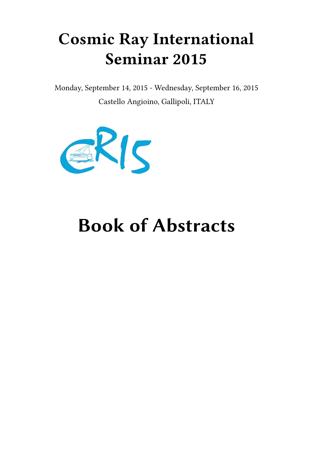## **Cosmic Ray International Seminar 2015**

Monday, September 14, 2015 - Wednesday, September 16, 2015 Castello Angioino, Gallipoli, ITALY



# **Book of Abstracts**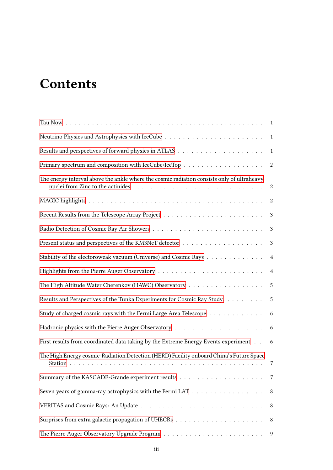## **Contents**

|                                                                                            | 1                |
|--------------------------------------------------------------------------------------------|------------------|
|                                                                                            | $\boldsymbol{2}$ |
| The energy interval above the ankle where the cosmic radiation consists only of ultraheavy | $\boldsymbol{2}$ |
|                                                                                            | $\boldsymbol{2}$ |
|                                                                                            | $\mathbf{3}$     |
|                                                                                            | 3                |
|                                                                                            | $\mathbf{3}$     |
| Stability of the electoroweak vacuum (Universe) and Cosmic Rays                            | $\overline{4}$   |
|                                                                                            | $\overline{4}$   |
| The High Altitude Water Cherenkov (HAWC) Observatory                                       | 5                |
| Results and Perspectives of the Tunka Experiments for Cosmic Ray Study.                    | 5                |
| Study of charged cosmic rays with the Fermi Large Area Telescope                           | 6                |
|                                                                                            | 6                |
| First results from coordinated data taking by the Extreme Energy Events experiment         | 6                |
| The High Energy cosmic-Radiation Detection (HERD) Facility onboard China's Future Space    | 7                |
|                                                                                            | 7                |
| Seven years of gamma-ray astrophysics with the Fermi LAT                                   | 8                |
|                                                                                            | 8                |
|                                                                                            | 8                |
|                                                                                            | 9                |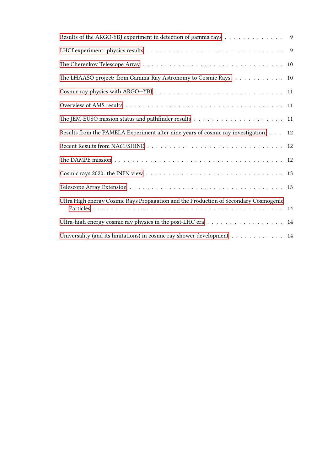| Results of the ARGO-YBJ experiment in detection of gamma rays 9                      |    |
|--------------------------------------------------------------------------------------|----|
|                                                                                      |    |
|                                                                                      | 10 |
| The LHAASO project: from Gamma-Ray Astronomy to Cosmic Rays. 10                      |    |
|                                                                                      |    |
|                                                                                      |    |
|                                                                                      | 11 |
| Results from the PAMELA Experiment after nine years of cosmic ray investigation.     | 12 |
|                                                                                      |    |
|                                                                                      | 12 |
|                                                                                      |    |
|                                                                                      |    |
| Ultra High energy Cosmic Rays Propagation and the Production of Secondary Cosmogenic |    |
| Ultra-high energy cosmic ray physics in the post-LHC era 14                          |    |
| Universality (and its limitations) in cosmic ray shower development 14               |    |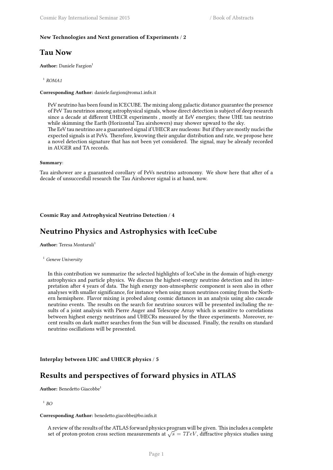## <span id="page-4-0"></span>**New Technologies and Next generation of Experiments** / **2**

## **Tau Now**

**Author:** Daniele Fargion<sup>1</sup>

1 *ROMA1*

**Corresponding Author:** daniele.fargion@roma1.infn.it

PeV neutrino has been found in ICECUBE. The mixing along galactic distance guarantee the presence of PeV Tau neutrinos among astrophysical signals, whose direct detection is subject of deep research since a decade at different UHECR experiments , mostly at EeV energies; these UHE tau neutrino while skimming the Earth (Horizontal Tau airshowers) may shower upward to the sky. The EeV tau neutrino are a guaranteed signal if UHECR are nucleons: But if they are mostly nuclei the expected signals is at PeVs. Therefore, kwowing their angular distribution and rate, we propose here a novel detection signature that has not been yet considered. The signal, may be already recorded in AUGER and TA records.

#### **Summary**:

Tau airshower are a guaranteed corollary of PeVs neutrino astronomy. We show here that after of a decade of unsuccesfull research the Tau Airshower signal is at hand, now.

#### <span id="page-4-1"></span>**Cosmic Ray and Astrophysical Neutrino Detection** / **4**

## **Neutrino Physics and Astrophysics with IceCube**

**Author:** Teresa Montaruli<sup>1</sup>

## <sup>1</sup> *Geneve University*

In this contribution we summarize the selected highlights of IceCube in the domain of high-energy astrophysics and particle physics. We discuss the highest-energy neutrino detection and its interpretation after 4 years of data. The high energy non-atmospheric component is seen also in other analyses with smaller significance, for instance when using muon neutrinos coming from the Northern hemisphere. Flavor mixing is probed along cosmic distances in an analysis using also cascade neutrino events. The results on the search for neutrino sources will be presented including the results of a joint analysis with Pierre Auger and Telescope Array which is sensitive to correlations between highest energy neutrinos and UHECRs measured by the three experiments. Moreover, recent results on dark matter searches from the Sun will be discussed. Finally, the results on standard neutrino oscillations will be presented.

<span id="page-4-2"></span>**Interplay between LHC and UHECR physics** / **5**

## **Results and perspectives of forward physics in ATLAS**

**Author:** Benedetto Giacobbe<sup>1</sup>

#### 1 *BO*

#### **Corresponding Author:** benedetto.giacobbe@bo.infn.it

A review of the results of the ATLAS forward physics program will be given. This includes a complete set of proton-proton cross section measurements at  $\sqrt{s} = 7TeV$ , diffractive physics studies using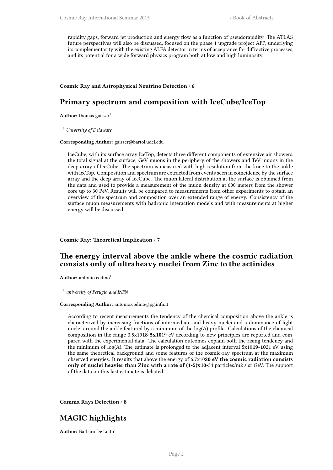rapidity gaps, forward jet production and energy flow as a function of pseudorapidity. The ATLAS future perspectives will also be discussed, focused on the phase 1 upgrade project AFP, underlying its complementarity with the existing ALFA detector in terms of acceptance for diffractive processes, and its potential for a wide forward physics program both at low and high luminosity.

## <span id="page-5-0"></span>**Cosmic Ray and Astrophysical Neutrino Detection** / **6**

## **Primary spectrum and composition with IceCube/IceTop**

**Author:** thomas gaisser<sup>1</sup>

<sup>1</sup> *University of Delaware*

#### **Corresponding Author:** gaisser@bartol.udel.edu

IceCube, with its surface array IceTop, detects three different components of extensive air showers: the total signal at the surface, GeV muons in the periphery of the showers and TeV muons in the deep array of IceCube. The spectrum is measured with high resolution from the knee to the ankle with IceTop. Composition and spectrum are extracted from events seen in coincidence by the surface array and the deep array of IceCube. The muon lateral distribution at the surface is obtained from the data and used to provide a measurement of the muon density at 600 meters from the shower core up to 30 PeV. Results will be compared to measurements from other experiments to obtain an overview of the spectrum and composition over an extended range of energy. Consistency of the surface muon measurements with hadronic interaction models and with measurements at higher energy will be discussed.

#### <span id="page-5-1"></span>**Cosmic Ray: Theoretical Implication** / **7**

## **The energy interval above the ankle where the cosmic radiation consists only of ultraheavy nuclei from Zinc to the actinides**

Author: antonio codino<sup>1</sup>

1 *university of Perugia and INFN*

#### **Corresponding Author:** antonio.codino@pg.infn.it

According to recent measurements the tendency of the chemical composition above the ankle is characterized by increasing fractions of intermediate and heavy nuclei and a dominance of light nuclei around the ankle featured by a minimum of the  $log(A)$  profile. Calculations of the chemical composition in the range 3.5x10**18-5x10**19 eV according to new principles are reported and compared with the experimental data. The calculation outcomes explain both the rising tendency and the minimum of log(A). The estimate is prolonged to the adjacent interval 5x10**19-10**21 eV using the same theoretical background and some features of the cosmic-ray spectrum at the maximum observed energies. It results that above the energy of 6.7x10**20 eV the cosmic radiation consists only of nuclei heavier than Zinc with a rate of (1-5)x10**-34 particles/m2 s sr GeV. The support of the data on this last estimate is debated.

<span id="page-5-2"></span>**Gamma Rays Detection** / **8**

## **MAGIC highlights**

**Author:** Barbara De Lotto<sup>1</sup>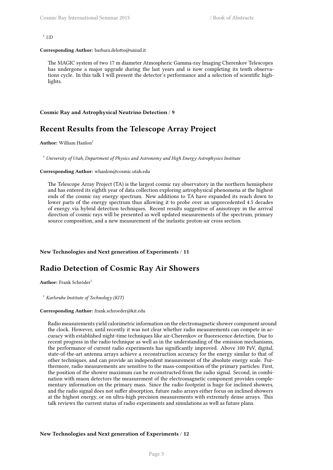#### $1$  *ID*

#### **Corresponding Author:** barbara.delotto@uniud.it

The MAGIC system of two 17 m diameter Atmospheric Gamma-ray Imaging Cherenkov Telescopes has undergone a major upgrade during the last years and is now completing its tenth observations cycle. In this talk I will present the detector's performance and a selection of scientific highlights.

#### <span id="page-6-0"></span>**Cosmic Ray and Astrophysical Neutrino Detection** / **9**

## **Recent Results from the Telescope Array Project**

**Author:** William Hanlon<sup>1</sup>

<sup>1</sup> *University of Utah, Department of Physics and Astronomy and High Energy Astrophysics Institute*

#### **Corresponding Author:** whanlon@cosmic.utah.edu

The Telescope Array Project (TA) is the largest cosmic ray observatory in the northern hemisphere and has entered its eighth year of data collection exploring astrophysical phenomena at the highest ends of the cosmic ray energy spectrum. New additions to TA have expanded its reach down to lower parts of the energy spectrum thus allowing it to probe over an unprecedented 4.5 decades of energy via hybrid detection techniques. Recent results suggestive of anisotropy in the arrival direction of cosmic rays will be presented as well updated measurements of the spectrum, primary source composition, and a new measurement of the inelastic proton-air cross section.

#### <span id="page-6-1"></span>**New Technologies and Next generation of Experiments** / **11**

## **Radio Detection of Cosmic Ray Air Showers**

**Author:** Frank Schröder<sup>1</sup>

<sup>1</sup> *Karlsruhe Institute of Technology (KIT)*

#### **Corresponding Author:** frank.schroeder@kit.edu

<span id="page-6-2"></span>Radio measurements yield calorimetric information on the electromagnetic shower component around the clock. However, until recently it was not clear whether radio measurements can compete in accuracy with established night-time techniques like air-Cherenkov or fluorescence detection. Due to recent progress in the radio technique as well as in the understanding of the emission mechanisms, the performance of current radio experiments has significantly improved. Above 100 PeV, digital, state-of-the-art antenna arrays achieve a reconstruction accuracy for the energy similar to that of other techniques, and can provide an independent measurement of the absolute energy scale. Furthermore, radio measurements are sensitive to the mass-composition of the primary particles: First, the position of the shower maximum can be reconstructed from the radio signal. Second, in combination with muon detectors the measurement of the electromagnetic component provides complementary information on the primary mass. Since the radio footprint is huge for inclined showers, and the radio signal does not suffer absorption, future radio arrays either focus on inclined showers at the highest energy, or on ultra-high precision measurements with extremely dense arrays. This talk reviews the current status of radio experiments and simulations as well as future plans.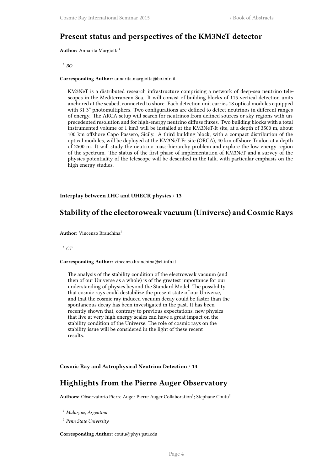## **Present status and perspectives of the KM3NeT detector**

**Author:** Annarita Margiotta<sup>1</sup>

1 *BO*

#### **Corresponding Author:** annarita.margiotta@bo.infn.it

KM3NeT is a distributed research infrastructure comprising a network of deep-sea neutrino telescopes in the Mediterranean Sea. It will consist of building blocks of 115 vertical detection units anchored at the seabed, connected to shore. Each detection unit carries 18 optical modules equipped with 31 3" photomultipliers. Two configurations are defined to detect neutrinos in different ranges of energy. The ARCA setup will search for neutrinos from defined sources or sky regions with unprecedented resolution and for high-energy neutrino diffuse fluxes. Two building blocks with a total instrumented volume of 1 km3 will be installed at the KM3NeT-It site, at a depth of 3500 m, about 100 km offshore Capo Passero, Sicily. A third building block, with a compact distribution of the optical modules, will be deployed at the KM3NeT-Fr site (ORCA), 40 km offshore Toulon at a depth of 2500 m. It will study the neutrino mass-hierarchy problem and explore the low energy region of the spectrum. The status of the first phase of implementation of KM3NeT and a survey of the physics potentiality of the telescope will be described in the talk, with particular emphasis on the high energy studies.

<span id="page-7-0"></span>**Interplay between LHC and UHECR physics** / **13**

## **Stability of the electoroweak vacuum (Universe) and Cosmic Rays**

**Author:** Vincenzo Branchina<sup>1</sup>

<sup>1</sup> *CT*

#### **Corresponding Author:** vincenzo.branchina@ct.infn.it

The analysis of the stability condition of the electroweak vacuum (and then of our Universe as a whole) is of the greatest importance for our understanding of physics beyond the Standard Model. The possibility that cosmic rays could destabilize the present state of our Universe, and that the cosmic ray induced vacuum decay could be faster than the spontaneous decay has been investigated in the past. It has been recently shown that, contrary to previous expectations, new physics that live at very high energy scales can have a great impact on the stability condition of the Universe. The role of cosmic rays on the stability issue will be considered in the light of these recent results.

<span id="page-7-1"></span>**Cosmic Ray and Astrophysical Neutrino Detection** / **14**

## **Highlights from the Pierre Auger Observatory**

Authors: Observatorio Pierre Auger Pierre Auger Collaboration<sup>1</sup>; Stephane Coutu<sup>2</sup>

<sup>1</sup> *Malargue, Argentina*

2 *Penn State University*

**Corresponding Author:** coutu@phys.psu.edu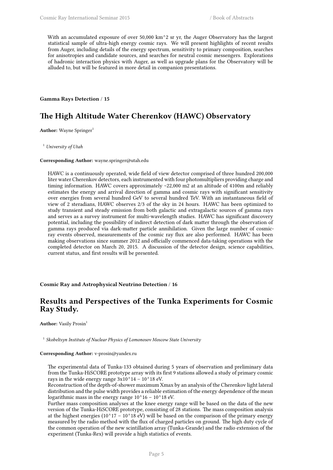With an accumulated exposure of over 50,000 km<sup> $\alpha$ </sup> sr yr, the Auger Observatory has the largest statistical sample of ultra-high energy cosmic rays. We will present highlights of recent results from Auger, including details of the energy spectrum, sensitivity to primary composition, searches for anisotropies and candidate sources, and searches for neutral cosmic messengers. Explorations of hadronic interaction physics with Auger, as well as upgrade plans for the Observatory will be alluded to, but will be featured in more detail in companion presentations.

## <span id="page-8-0"></span>**Gamma Rays Detection** / **15**

## **The High Altitude Water Cherenkov (HAWC) Observatory**

Author: Wayne Springer<sup>1</sup>

<sup>1</sup> *University of Utah*

#### **Corresponding Author:** wayne.springer@utah.edu

HAWC is a continuously operated, wide field of view detector comprised of three hundred 200,000 liter water Cherenkov detectors, each instrumented with four photomultipliers providing charge and timing information. HAWC covers approximately ~22,000 m2 at an altitude of 4100m and reliably estimates the energy and arrival direction of gamma and cosmic rays with significant sensitivity over energies from several hundred GeV to several hundred TeV. With an instantaneous field of view of 2 steradians, HAWC observes 2/3 of the sky in 24 hours. HAWC has been optimized to study transient and steady emission from both galactic and extragalactic sources of gamma rays and serves as a survey instrument for multi-wavelength studies. HAWC has significant discovery potential, including the possibility of indirect detection of dark matter through the observation of gamma rays produced via dark-matter particle annihilation. Given the large number of cosmicray events observed, measurements of the cosmic ray flux are also performed. HAWC has been making observations since summer 2012 and officially commenced data-taking operations with the completed detector on March 20, 2015. A discussion of the detector design, science capabilities, current status, and first results will be presented.

<span id="page-8-1"></span>**Cosmic Ray and Astrophysical Neutrino Detection** / **16**

## **Results and Perspectives of the Tunka Experiments for Cosmic Ray Study.**

**Author:** Vasily Prosin<sup>1</sup>

<sup>1</sup> Skobeltsyn Institute of Nuclear Physics of Lomonosov Moscow State University

#### **Corresponding Author:** v-prosin@yandex.ru

The experimental data of Tunka-133 obtained during 5 years of observation and preliminary data from the Tunka-HiSCORE prototype array with its first 9 stations allowed a study of primary cosmic rays in the wide energy range  $3x10^{\text{A}}14 - 10^{\text{A}}18 \text{ eV}$ .

Reconstruction of the depth-of-shower maximum Xmax by an analysis of the Cherenkov light lateral distribution and the pulse width provides a reliable estimation of the energy dependence of the mean logarithmic mass in the energy range  $10^{\text{A}}16 - 10^{\text{A}}18$  eV.

Further mass composition analyses at the knee energy range will be based on the data of the new version of the Tunka-HiSCORE prototype, consisting of 28 stations. The mass composition analysis at the highest energies ( $10^{\text{A}}17 - 10^{\text{A}}18$  eV) will be based on the comparison of the primary energy measured by the radio method with the flux of charged particles on ground. The high duty cycle of the common operation of the new scintillation array (Tunka-Grande) and the radio extension of the experiment (Tunka-Rex) will provide a high statistics of events.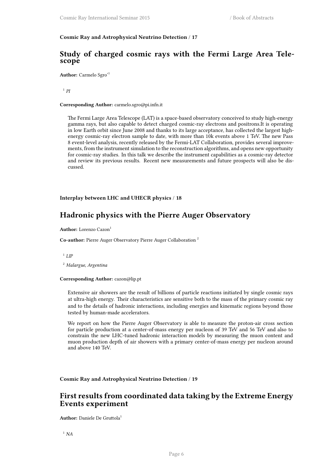## <span id="page-9-0"></span>**Cosmic Ray and Astrophysical Neutrino Detection** / **17**

## **Study of charged cosmic rays with the Fermi Large Area Telescope**

**Author:** Carmelo Sgro'<sup>1</sup>

1 *PI*

#### **Corresponding Author:** carmelo.sgro@pi.infn.it

The Fermi Large Area Telescope (LAT) is a space-based observatory conceived to study high-energy gamma rays, but also capable to detect charged cosmic-ray electrons and positrons.It is operating in low Earth orbit since June 2008 and thanks to its large acceptance, has collected the largest highenergy cosmic-ray electron sample to date, with more than 10k events above 1 TeV. The new Pass 8 event-level analysis, recently released by the Fermi-LAT Collaboration, provides several improvements, from the instrument simulation to the reconstruction algorithms, and opens new opportunity for cosmic-ray studies. In this talk we describe the instrument capabilities as a cosmic-ray detector and review its previous results. Recent new measurements and future prospects will also be discussed.

## <span id="page-9-1"></span>**Interplay between LHC and UHECR physics** / **18**

## **Hadronic physics with the Pierre Auger Observatory**

**Author:** Lorenzo Cazon<sup>1</sup>

**Co-author:** Pierre Auger Observatory Pierre Auger Collaboration <sup>2</sup>

1 *LIP*

<sup>2</sup> *Malargue, Argentina*

#### **Corresponding Author:** cazon@lip.pt

Extensive air showers are the result of billions of particle reactions initiated by single cosmic rays at ultra-high energy. Their characteristics are sensitive both to the mass of the primary cosmic ray and to the details of hadronic interactions, including energies and kinematic regions beyond those tested by human-made accelerators.

We report on how the Pierre Auger Observatory is able to measure the proton-air cross section for particle production at a center-of-mass energy per nucleon of 39 TeV and 56 TeV and also to constrain the new LHC-tuned hadronic interaction models by measuring the muon content and muon production depth of air showers with a primary center-of-mass energy per nucleon around and above 140 TeV.

<span id="page-9-2"></span>**Cosmic Ray and Astrophysical Neutrino Detection** / **19**

## **First results from coordinated data taking by the Extreme Energy Events experiment**

**Author:** Daniele De Gruttola<sup>1</sup>

<sup>1</sup> *NA*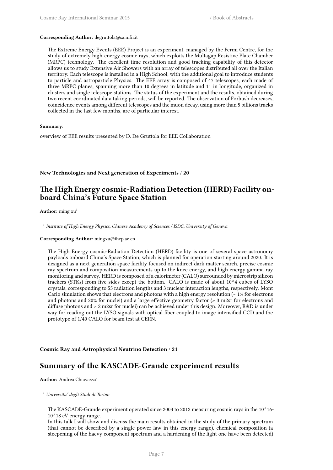#### **Corresponding Author:** degruttola@sa.infn.it

The Extreme Energy Events (EEE) Project is an experiment, managed by the Fermi Centre, for the study of extremely high-energy cosmic rays, which exploits the Multagap Resistive Plate Chamber (MRPC) technology. The excellent time resolution and good tracking capability of this detector allows us to study Extensive Air Showers with an array of telescopes distributed all over the Italian territory. Each telescope is installed in a High School, with the additional goal to introduce students to particle and astroparticle Physics. The EEE array is composed of 47 telescopes, each made of three MRPC planes, spanning more than 10 degrees in latitude and 11 in longitude, organized in clusters and single telescope stations. The status of the experiment and the results, obtained during two recent coordinated data taking periods, will be reported. The observation of Forbush decreases, coincidence events among different telescopes and the muon decay, using more than 5 billions tracks collected in the last few months, are of particular interest.

#### **Summary**:

overview of EEE results presented by D. De Gruttola for EEE Collaboration

<span id="page-10-0"></span>**New Technologies and Next generation of Experiments** / **20**

## **The High Energy cosmic-Radiation Detection (HERD) Facility onboard China's Future Space Station**

Author: ming xu<sup>1</sup>

1 *Institute of High Energy Physics, Chinese Academy of Sciences / ISDC, University of Geneva*

**Corresponding Author:** mingxu@ihep.ac.cn

The High Energy cosmic-Radiation Detection (HERD) facility is one of several space astronomy payloads onboard China's Space Station, which is planned for operation starting around 2020. It is designed as a next generation space facility focused on indirect dark matter search, precise cosmic ray spectrum and composition measurements up to the knee energy, and high energy gamma-ray monitoring and survey. HERD is composed of a calorimeter (CALO) surrounded by microstrip silicon trackers (STKs) from five sides except the bottom. CALO is made of about 10^4 cubes of LYSO crystals, corresponding to 55 radiation lengths and 3 nuclear interaction lengths, respectively. Mont Carlo simulation shows that electrons and photons with a high energy resolution (∼ 1% for electrons and photons and 20% for nuclei) and a large effective geometry factor (> 3 m2sr for electrons and diffuse photons and > 2 m2sr for nuclei) can be achieved under this design. Moreover, R&D is under way for reading out the LYSO signals with optical fiber coupled to image intensified CCD and the prototype of 1/40 CALO for beam test at CERN.

<span id="page-10-1"></span>**Cosmic Ray and Astrophysical Neutrino Detection** / **21**

## **Summary of the KASCADE-Grande experiment results**

Author: Andrea Chiavassa<sup>1</sup>

<sup>1</sup> *Universita' degli Studi di Torino*

The KASCADE-Grande experiment operated since 2003 to 2012 measuring cosmic rays in the 10^16- 10^18 eV energy range.

In this talk I will show and discuss the main results obtained in the study of the primary spectrum (that cannot be described by a single power law in this energy range), chemical composition (a steepening of the haevy component spectrum and a hardening of the light one have been detected)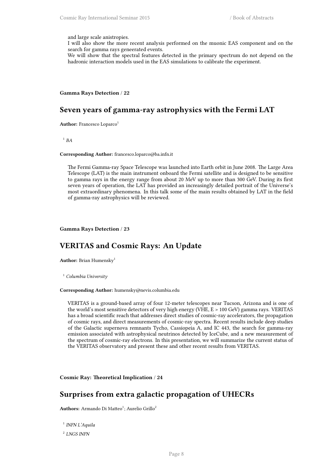and large scale anistropies.

I will also show the more recent analysis performed on the muonic EAS component and on the search for gamma rays geneerated events.

We will show that the spectral features detected in the primary spectrum do not depend on the hadronic interaction models used in the EAS simulations to calibrate the experiment.

#### <span id="page-11-0"></span>**Gamma Rays Detection** / **22**

## **Seven years of gamma-ray astrophysics with the Fermi LAT**

**Author:** Francesco Loparco<sup>1</sup>

1 *BA*

## **Corresponding Author:** francesco.loparco@ba.infn.it

The Fermi Gamma-ray Space Telescope was launched into Earth orbit in June 2008. The Large Area Telescope (LAT) is the main instrument onboard the Fermi satellite and is designed to be sensitive to gamma rays in the energy range from about 20 MeV up to more than 300 GeV. During its first seven years of operation, the LAT has provided an increasingly detailed portrait of the Universe's most extraordinary phenomena. In this talk some of the main results obtained by LAT in the field of gamma-ray astrophysics will be reviewed.

<span id="page-11-1"></span>**Gamma Rays Detection** / **23**

## **VERITAS and Cosmic Rays: An Update**

**Author:** Brian Humensky<sup>1</sup>

<sup>1</sup> *Columbia University*

#### **Corresponding Author:** humensky@nevis.columbia.edu

VERITAS is a ground-based array of four 12-meter telescopes near Tucson, Arizona and is one of the world's most sensitive detectors of very high energy (VHE, E > 100 GeV) gamma rays. VERITAS has a broad scientific reach that addresses direct studies of cosmic-ray accelerators, the propagation of cosmic rays, and direct measurements of cosmic-ray spectra. Recent results include deep studies of the Galactic supernova remnants Tycho, Cassiopeia A, and IC 443, the search for gamma-ray emission associated with astrophysical neutrinos detected by IceCube, and a new measurement of the spectrum of cosmic-ray electrons. In this presentation, we will summarize the current status of the VERITAS observatory and present these and other recent results from VERITAS.

<span id="page-11-2"></span>**Cosmic Ray: Theoretical Implication** / **24**

## **Surprises from extra galactic propagation of UHECRs**

**Authors:** Armando Di Matteo<sup>1</sup>; Aurelio Grillo<sup>2</sup>

1 *INFN L'Aquila*

2 *LNGS INFN*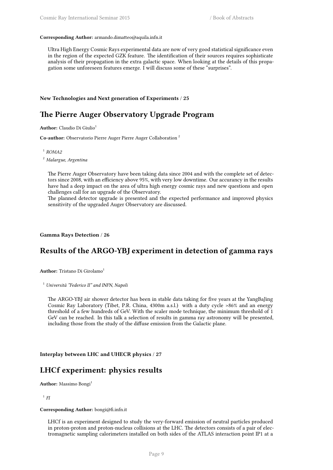#### **Corresponding Author:** armando.dimatteo@aquila.infn.it

Ultra High Energy Cosmic Rays experimental data are now of very good statistical significance even in the region of the expected GZK feature. The identification of their sources requires sophisticate analysis of their propagation in the extra galactic space. When looking at the details of this propagation some unforeseen features emerge. I will discuss some of these "surprises".

#### **New Technologies and Next generation of Experiments** / **25**

## **The Pierre Auger Observatory Upgrade Program**

**Author:** Claudio Di Giulio<sup>1</sup>

**Co-author:** Observatorio Pierre Auger Pierre Auger Collaboration <sup>2</sup>

1 *ROMA2*

<sup>2</sup> *Malargue, Argentina*

The Pierre Auger Observatory have been taking data since 2004 and with the complete set of detectors since 2008, with an efficiency above 95%, with very low downtime. Our accurancy in the results have had a deep impact on the area of ultra high energy cosmic rays and new questions and open challenges call for an upgrade of the Observatory.

The planned detector upgrade is presented and the expected performance and improved physics sensitivity of the upgraded Auger Observatory are discussed.

<span id="page-12-0"></span>**Gamma Rays Detection** / **26**

## **Results of the ARGO-YBJ experiment in detection of gamma rays**

**Author:** Tristano Di Girolamo<sup>1</sup>

<sup>1</sup> *Università "Federico II" and INFN, Napoli*

The ARGO-YBJ air shower detector has been in stable data taking for five years at the YangBaJing Cosmic Ray Laboratory (Tibet, P.R. China, 4300m a.s.l.) with a duty cycle >86% and an energy threshold of a few hundreds of GeV. With the scaler mode technique, the minimum threshold of 1 GeV can be reached. In this talk a selection of results in gamma ray astronomy will be presented, including those from the study of the diffuse emission from the Galactic plane.

<span id="page-12-1"></span>**Interplay between LHC and UHECR physics** / **27**

## **LHCf experiment: physics results**

**Author:** Massimo Bongi<sup>1</sup>

1 *FI*

**Corresponding Author:** bongi@fi.infn.it

LHCf is an experiment designed to study the very-forward emission of neutral particles produced in proton-proton and proton-nucleus collisions at the LHC. The detectors consists of a pair of electromagnetic sampling calorimeters installed on both sides of the ATLAS interaction point IP1 at a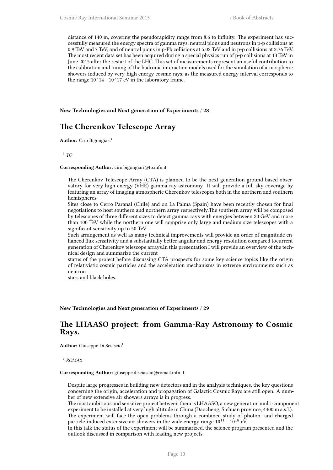distance of 140 m, covering the pseudorapidity range from 8.6 to infinity. The experiment has successfully measured the energy spectra of gamma rays, neutral pions and neutrons in p-p collisions at 0.9 TeV and 7 TeV, and of neutral pions in p-Pb collisions at 5.02 TeV and in p-p collisions at 2.76 TeV. The most recent data set has been acquired during a special physics run of p-p collisions at 13 TeV in June 2015 after the restart of the LHC. This set of measurements represent an useful contribution to the calibration and tuning of the hadronic interaction models used for the simulation of atmospheric showers induced by very-high energy cosmic rays, as the measured energy interval corresponds to the range  $10^14 - 10^17$  eV in the laboratory frame.

<span id="page-13-0"></span>**New Technologies and Next generation of Experiments** / **28**

## **The Cherenkov Telescope Array**

**Author:** Ciro Bigongiari<sup>1</sup>

1 *TO*

#### **Corresponding Author:** ciro.bigongiari@to.infn.it

The Cherenkov Telescope Array (CTA) is planned to be the next generation ground based observatory for very high energy (VHE) gamma-ray astronomy. It will provide a full sky-coverage by featuring an array of imaging atmospheric Cherenkov telescopes both in the northern and southern hemispheres.

Sites close to Cerro Paranal (Chile) and on La Palma (Spain) have been recently chosen for final negotiations to host southern and northern array respectively.The southern array will be composed by telescopes of three different sizes to detect gamma rays with energies between 20 GeV and more than 100 TeV while the northern one will comprise only large and medium size telescopes with a significant sensitivity up to 50 TeV.

Such arrangement as well as many technical improvements will provide an order of magnitude enhanced flux sensitivity and a substantially better angular and energy resolution compared tocurrent generation of Cherenkov telescope arrays.In this presentation I will provide an overview of the technical design and summarize the current

status of the project before discussing CTA prospects for some key science topics like the origin of relativistic cosmic particles and the acceleration mechanisms in extreme environments such as neutron

stars and black holes.

#### <span id="page-13-1"></span>**New Technologies and Next generation of Experiments** / **29**

## **The LHAASO project: from Gamma-Ray Astronomy to Cosmic Rays.**

**Author:** Giuseppe Di Sciascio<sup>1</sup>

1 *ROMA2*

**Corresponding Author:** giuseppe.disciascio@roma2.infn.it

Despite large progresses in building new detectors and in the analysis techniques, the key questions concerning the origin, acceleration and propagation of Galactic Cosmic Rays are still open. A number of new extensive air showers arrays is in progress.

The most ambitious and sensitive project between them is LHAASO, a new generation multi-component experiment to be installed at very high altitude in China (Daocheng, Sichuan province, 4400 m a.s.l.). The experiment will face the open problems through a combined study of photon- and charged particle-induced extensive air showers in the wide energy range  $10^{11}$  -  $10^{18}$  eV.

In this talk the status of the experiment will be summarized, the science program presented and the outlook discussed in comparison with leading new projects.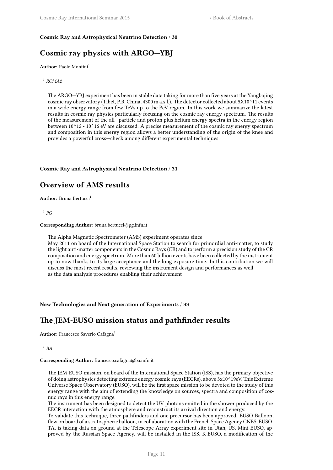## <span id="page-14-0"></span>**Cosmic Ray and Astrophysical Neutrino Detection** / **30**

## **Cosmic ray physics with ARGO—YBJ**

**Author:** Paolo Montini<sup>1</sup>

1 *ROMA2*

The ARGO—YBJ experiment has been in stable data taking for more than five years at the Yangbajing cosmic ray observatory (Tibet, P.R. China, 4300 m a.s.l.). The detector collected about 5X10^11 events in a wide energy range from few TeVs up to the PeV region. In this work we summarize the latest results in cosmic ray physics particularly focusing on the cosmic ray energy spectrum. The results of the measurement of the all—particle and proton plus helium energy spectra in the energy region between 10^12 - 10^16 eV are discussed. A precise measurement of the cosmic ray energy spectrum and composition in this energy region allows a better understanding of the origin of the knee and provides a powerful cross—check among different experimental techniques.

## <span id="page-14-1"></span>**Cosmic Ray and Astrophysical Neutrino Detection** / **31**

## **Overview of AMS results**

**Author:** Bruna Bertucci<sup>1</sup>

1 *PG*

#### **Corresponding Author:** bruna.bertucci@pg.infn.it

The Alpha Magnetic Spectrometer (AMS) experiment operates since May 2011 on board of the International Space Station to search for primordial anti-matter, to study the light anti-matter components in the Cosmic Rays (CR) and to perform a precision study of the CR composition and energy spectrum. More than 60 billion events have been collected by the instrument up to now thanks to its large acceptance and the long exposure time. In this contribution we will discuss the most recent results, reviewing the instrument design and performances as well as the data analysis procedures enabling their achievement

<span id="page-14-2"></span>**New Technologies and Next generation of Experiments** / **33**

## **The JEM-EUSO mission status and pathfinder results**

**Author:** Francesco Saverio Cafagna<sup>1</sup>

1 *BA*

**Corresponding Author:** francesco.cafagna@ba.infn.it

The JEM-EUSO mission, on board of the International Space Station (ISS), has the primary objective of doing astrophysics detecting extreme energy cosmic rays (EECRs), above 3x10^19eV. This Extreme Universe Space Observatory (EUSO), will be the first space mission to be devoted to the study of this energy range with the aim of extending the knowledge on sources, spectra and composition of cosmic rays in this energy range.

The instrument has been designed to detect the UV photons emitted in the shower produced by the EECR interaction with the atmosphere and reconstruct its arrival direction and energy.

To validate this technique, three pathfinders and one precursor has been approved. EUSO-Balloon, flew on board of a stratospheric balloon, in collaboration with the French Space Agency CNES. EUSO-TA, is taking data on ground at the Telescope Array experiment site in Utah, US. Mini-EUSO, approved by the Russian Space Agency, will be installed in the ISS. K-EUSO, a modification of the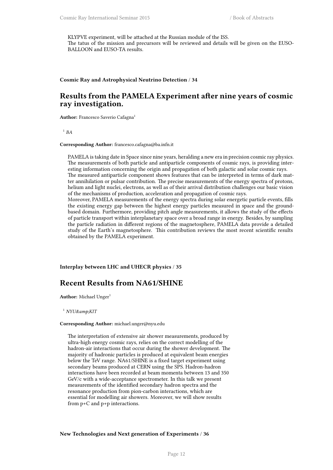KLYPVE experiment, will be attached at the Russian module of the ISS. The tatus of the mission and precursors will be reviewed and details will be given on the EUSO-BALLOON and EUSO-TA results.

## <span id="page-15-0"></span>**Cosmic Ray and Astrophysical Neutrino Detection** / **34**

## **Results from the PAMELA Experiment after nine years of cosmic ray investigation.**

Author: Francesco Saverio Cafagna<sup>1</sup>

1 *BA*

#### **Corresponding Author:** francesco.cafagna@ba.infn.it

PAMELA is taking date in Space since nine years, heralding a new era in precision cosmic ray physics. The measurements of both particle and antiparticle components of cosmic rays, is providing interesting information concerning the origin and propagation of both galactic and solar cosmic rays. The measured antiparticle component shows features that can be interpreted in terms of dark matter annihilation or pulsar contribution. The precise measurements of the energy spectra of protons, helium and light nuclei, electrons, as well as of their arrival distribution challenges our basic vision of the mechanisms of production, acceleration and propagation of cosmic rays.

Moreover, PAMELA measurements of the energy spectra during solar energetic particle events, fills the existing energy gap between the highest energy particles measured in space and the groundbased domain. Furthermore, providing pitch angle measurements, it allows the study of the effects of particle transport within interplanetary space over a broad range in energy. Besides, by sampling the particle radiation in different regions of the magnetosphere, PAMELA data provide a detailed study of the Earth's magnetosphere. This contribution reviews the most recent scientific results obtained by the PAMELA experiment.

<span id="page-15-1"></span>**Interplay between LHC and UHECR physics** / **35**

## **Recent Results from NA61/SHINE**

**Author:** Michael Unger<sup>1</sup>

<sup>1</sup> *NYU&amp*;*KIT* 

#### **Corresponding Author:** michael.unger@nyu.edu

The interpretation of extensive air shower measurements, produced by ultra-high energy cosmic rays, relies on the correct modelling of the hadron-air interactions that occur during the shower development. The majority of hadronic particles is produced at equivalent beam energies below the TeV range. NA61/SHINE is a fixed target experiment using secondary beams produced at CERN using the SPS. Hadron-hadron interactions have been recorded at beam momenta between 13 and 350 GeV/c with a wide-acceptance spectrometer. In this talk we present measurements of the identified secondary hadron spectra and the resonance production from pion-carbon interactions, which are essential for modelling air showers. Moreover, we will show results from p+C and p+p interactions.

<span id="page-15-2"></span>**New Technologies and Next generation of Experiments** / **36**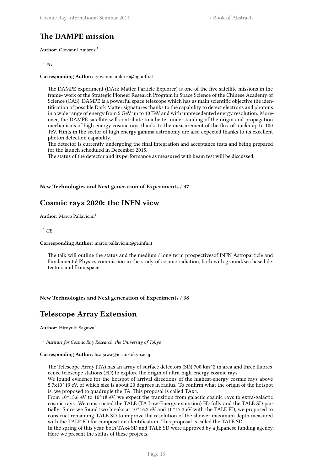## **The DAMPE mission**

**Author:** Giovanni Ambrosi<sup>1</sup>

## 1 *PG*

#### **Corresponding Author:** giovanni.ambrosi@pg.infn.it

The DAMPE experiment (DArk Matter Particle Explorer) is one of the five satellite missions in the frame- work of the Strategic Pioneer Research Program in Space Science of the Chinese Academy of Science (CAS). DAMPE is a powerful space telescope which has as main scientific objective the identification of possible Dark Matter signatures thanks to the capability to detect electrons and photons in a wide range of energy from 5 GeV up to 10 TeV and with unprecedented energy resolution. Moreover, the DAMPE satellite will contribute to a better understanding of the origin and propagation mechanisms of high energy cosmic rays thanks to the measurement of the flux of nuclei up to 100 TeV. Hints in the sector of high energy gamma astronomy are also expected thanks to its excellent photon detection capability.

The detector is currently undergoing the final integration and acceptance tests and being prepared for the launch scheduled in December 2015.

The status of the detector and its performance as measured with beam test will be discussed.

## <span id="page-16-0"></span>**New Technologies and Next generation of Experiments** / **37**

## **Cosmic rays 2020: the INFN view**

**Author:** Marco Pallavicini<sup>1</sup>

 $^{1}$  *GE* 

#### **Corresponding Author:** marco.pallavicini@ge.infn.it

The talk will outline the status and the medium / long term prospectivesof INFN Astroparticle and Fundamental Physics commission in the study of cosmic radiation, both with ground/sea based detectors and from space.

#### <span id="page-16-1"></span>**New Technologies and Next generation of Experiments** / **38**

## **Telescope Array Extension**

**Author:** Hiroyuki Sagawa<sup>1</sup>

1 *Institute for Cosmic Ray Research, the University of Tokyo*

#### **Corresponding Author:** hsagawa@icrr.u-tokyo.ac.jp

The Telescope Array (TA) has an array of surface detectors (SD) 700 km^2 in area and three fluorescence telescope stations (FD) to explore the origin of ultra-high-energy cosmic rays.

We found evidence for the hotspot of arrival directions of the highest-energy cosmic rays above 5.7x10^19 eV, of which size is about 20 degrees in radius. To confirm what the origin of the hotspot is, we proposed to quadruple the TA. This proposal is called TAx4.

From  $10^{\text{A}}15.6$  eV to  $10^{\text{A}}18$  eV, we expect the transition from galactic cosmic rays to extra-galactic cosmic rays. We constructed the TALE (TA Low-Energy extension) FD fully and the TALE SD partially. Since we found two breaks at 10^16.3 eV and 10^17.3 eV with the TALE FD, we proposed to construct remaining TALE SD to improve the resolution of the shower maximum depth measured with the TALE FD for composition identification. This proposal is called the TALE SD.

In the spring of this year, both TAx4 SD and TALE SD were approved by a Japanese funding agency. Here we present the status of these projects.